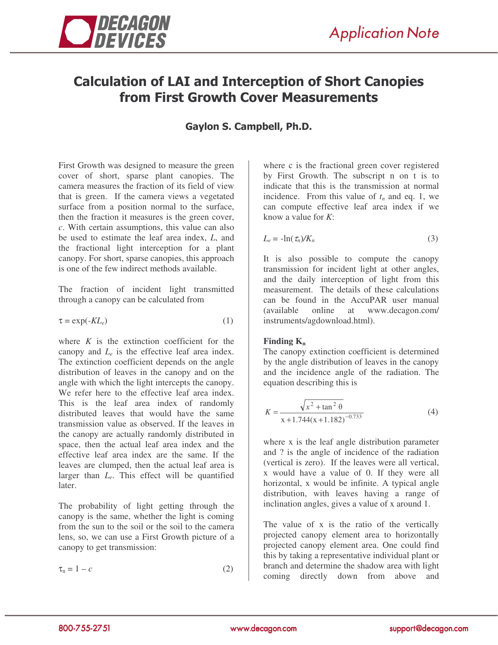

# Calculation of LAI and Interception of Short Canopies from First Growth Cover Measurements

## Gaylon S. Campbell, Ph.D.

First Growth was designed to measure the green cover of short, sparse plant canopies. The camera measures the fraction of its field of view that is green. If the camera views a vegetated surface from a position normal to the surface, then the fraction it measures is the green cover, *c*. With certain assumptions, this value can also be used to estimate the leaf area index, *L*, and the fractional light interception for a plant canopy. For short, sparse canopies, this approach is one of the few indirect methods available.

The fraction of incident light transmitted through a canopy can be calculated from

$$
\tau = \exp(-KL_e) \tag{1}
$$

where  $K$  is the extinction coefficient for the canopy and  $L_e$  is the effective leaf area index. The extinction coefficient depends on the angle distribution of leaves in the canopy and on the angle with which the light intercepts the canopy. We refer here to the effective leaf area index. This is the leaf area index of randomly distributed leaves that would have the same transmission value as observed. If the leaves in the canopy are actually randomly distributed in space, then the actual leaf area index and the effective leaf area index are the same. If the leaves are clumped, then the actual leaf area is larger than *L<sub>e</sub>*. This effect will be quantified later.

The probability of light getting through the canopy is the same, whether the light is coming from the sun to the soil or the soil to the camera lens, so, we can use a First Growth picture of a canopy to get transmission:

$$
\tau_n = 1 - c \tag{2}
$$

where c is the fractional green cover registered by First Growth. The subscript n on t is to indicate that this is the transmission at normal incidence. From this value of *t<sup>n</sup>* and eq. 1, we can compute effective leaf area index if we know a value for *K*:

$$
L_e = -\ln(\tau_n)/K_n \tag{3}
$$

It is also possible to compute the canopy transmission for incident light at other angles, and the daily interception of light from this measurement. The details of these calculations can be found in the AccuPAR user manual (available online at www.decagon.com/ instruments/agdownload.html).

#### **Finding K<sup>n</sup>**

The canopy extinction coefficient is determined by the angle distribution of leaves in the canopy and the incidence angle of the radiation. The equation describing this is

$$
K = \frac{\sqrt{x^2 + \tan^2 \theta}}{x + 1.744(x + 1.182)^{-0.733}}
$$
(4)

where x is the leaf angle distribution parameter and ? is the angle of incidence of the radiation (vertical is zero). If the leaves were all vertical, x would have a value of 0. If they were all horizontal, x would be infinite. A typical angle distribution, with leaves having a range of inclination angles, gives a value of x around 1.

The value of x is the ratio of the vertically projected canopy element area to horizontally projected canopy element area. One could find this by taking a representative individual plant or branch and determine the shadow area with light coming directly down from above and